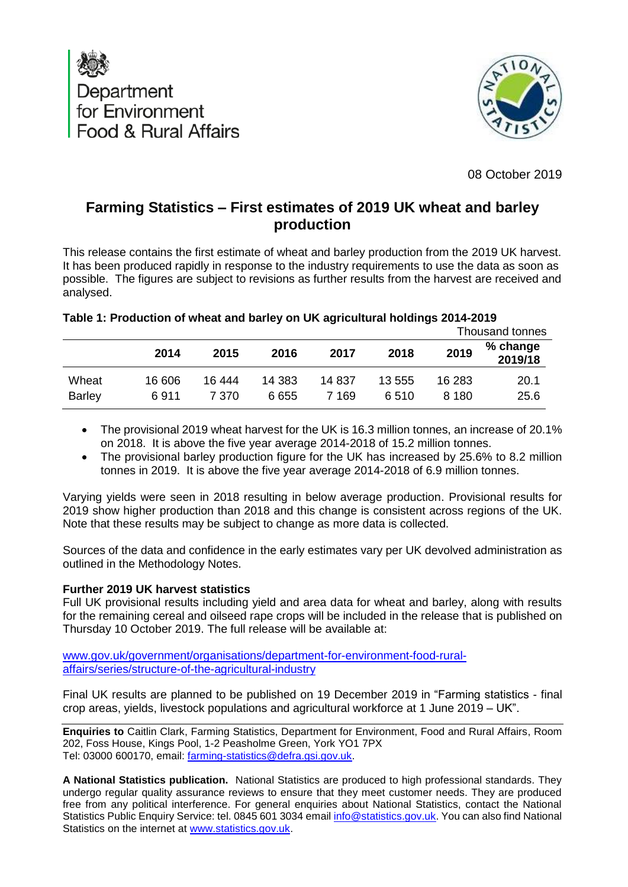



08 October 2019

# **Farming Statistics – First estimates of 2019 UK wheat and barley production**

This release contains the first estimate of wheat and barley production from the 2019 UK harvest. It has been produced rapidly in response to the industry requirements to use the data as soon as possible. The figures are subject to revisions as further results from the harvest are received and analysed.

|                        |                |                 |                  |                 |                |                   | Thousand tonnes     |  |
|------------------------|----------------|-----------------|------------------|-----------------|----------------|-------------------|---------------------|--|
|                        | 2014           | 2015            | 2016             | 2017            | 2018           | 2019              | % change<br>2019/18 |  |
| Wheat<br><b>Barley</b> | 16 606<br>6911 | 16 444<br>7 370 | 14 3 8 3<br>6655 | 14 837<br>7 169 | 13 555<br>6510 | 16 283<br>8 1 8 0 | 20.1<br>25.6        |  |

## **Table 1: Production of wheat and barley on UK agricultural holdings 2014-2019**

- The provisional 2019 wheat harvest for the UK is 16.3 million tonnes, an increase of 20.1% on 2018. It is above the five year average 2014-2018 of 15.2 million tonnes.
- The provisional barley production figure for the UK has increased by 25.6% to 8.2 million tonnes in 2019. It is above the five year average 2014-2018 of 6.9 million tonnes.

Varying yields were seen in 2018 resulting in below average production. Provisional results for 2019 show higher production than 2018 and this change is consistent across regions of the UK. Note that these results may be subject to change as more data is collected.

Sources of the data and confidence in the early estimates vary per UK devolved administration as outlined in the Methodology Notes.

### **Further 2019 UK harvest statistics**

Full UK provisional results including yield and area data for wheat and barley, along with results for the remaining cereal and oilseed rape crops will be included in the release that is published on Thursday 10 October 2019. The full release will be available at:

[www.gov.uk/government/organisations/department-for-environment-food-rural](http://www.gov.uk/government/organisations/department-for-environment-food-rural-affairs/series/structure-of-the-agricultural-industry)[affairs/series/structure-of-the-agricultural-industry](http://www.gov.uk/government/organisations/department-for-environment-food-rural-affairs/series/structure-of-the-agricultural-industry)

Final UK results are planned to be published on 19 December 2019 in "Farming statistics - final crop areas, yields, livestock populations and agricultural workforce at 1 June 2019 – UK".

**Enquiries to** Caitlin Clark, Farming Statistics, Department for Environment, Food and Rural Affairs, Room 202, Foss House, Kings Pool, 1-2 Peasholme Green, York YO1 7PX Tel: 03000 600170, email: [farming-statistics@defra.gsi.gov.uk.](mailto:farming-statistics@defra.gsi.gov.uk)

**A National Statistics publication.** National Statistics are produced to high professional standards. They undergo regular quality assurance reviews to ensure that they meet customer needs. They are produced free from any political interference. For general enquiries about National Statistics, contact the National Statistics Public Enquiry Service: tel. 0845 601 3034 email [info@statistics.gov.uk.](mailto:info@statistics.gov.uk) You can also find National Statistics on the internet at [www.statistics.gov.uk.](http://www.statistics.gov.uk/hub/index.html)